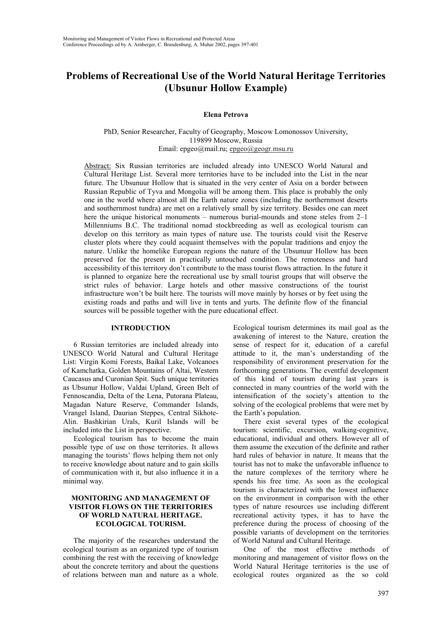# **Problems of Recreational Use of the World Natural Heritage Territories (Ubsunur Hollow Example)**

**Elena Petrova**

PhD, Senior Researcher, Faculty of Geography, Moscow Lomonossov University, 119899 Moscow, Russia Email: epgeo@mail.ru; epgeo@geogr.msu.ru

Abstract: Six Russian territories are included already into UNESCO World Natural and Cultural Heritage List. Several more territories have to be included into the List in the near future. The Ubsunuur Hollow that is situated in the very center of Asia on a border between Russian Republic of Tyva and Mongolia will be among them. This place is probably the only one in the world where almost all the Earth nature zones (including the northernmost deserts and southernmost tundra) are met on a relatively small by size territory. Besides one can meet here the unique historical monuments – numerous burial-mounds and stone steles from 2–1 Millenniums B.C. The traditional nomad stockbreeding as well as ecological tourism can develop on this territory as main types of nature use. The tourists could visit the Reserve cluster plots where they could acquaint themselves with the popular traditions and enjoy the nature. Unlike the homelike European regions the nature of the Ubsunuur Hollow has been preserved for the present in practically untouched condition. The remoteness and hard accessibility of this territory don't contribute to the mass tourist flows attraction. In the future it is planned to organize here the recreational use by small tourist groups that will observe the strict rules of behavior. Large hotels and other massive constructions of the tourist infrastructure won't be built here. The tourists will move mainly by horses or by feet using the existing roads and paths and will live in tents and yurts. The definite flow of the financial sources will be possible together with the pure educational effect.

## **INTRODUCTION**

6 Russian territories are included already into UNESCO World Natural and Cultural Heritage List: Virgin Komi Forests, Baikal Lake, Volcanoes of Kamchatka, Golden Mountains of Altai, Western Caucasus and Curonian Spit. Such unique territories as Ubsunur Hollow, Valdai Upland, Green Belt of Fennoscandia, Delta of the Lena, Putorana Plateau, Magadan Nature Reserve, Commander Islands, Vrangel Island, Daurian Steppes, Central Sikhote-Alin. Bashkirian Urals, Kuril Islands will be included into the List in perspective.

Ecological tourism has to become the main possible type of use on those territories. It allows managing the tourists' flows helping them not only to receive knowledge about nature and to gain skills of communication with it, but also influence it in a minimal way.

## **MONITORING AND MANAGEMENT OF VISITOR FLOWS ON THE TERRITORIES OF WORLD NATURAL HERITAGE. ECOLOGICAL TOURISM.**

The majority of the researches understand the ecological tourism as an organized type of tourism combining the rest with the receiving of knowledge about the concrete territory and about the questions of relations between man and nature as a whole.

Ecological tourism determines its mail goal as the awakening of interest to the Nature, creation the sense of respect for it, education of a careful attitude to it, the man's understanding of the responsibility of environment preservation for the forthcoming generations. The eventful development of this kind of tourism during last years is connected in many countries of the world with the intensification of the society's attention to the solving of the ecological problems that were met by the Earth's population.

There exist several types of the ecological tourism: scientific, excursion, walking-cognitive, educational, individual and others. However all of them assume the execution of the definite and rather hard rules of behavior in nature. It means that the tourist has not to make the unfavorable influence to the nature complexes of the territory where he spends his free time. As soon as the ecological tourism is characterized with the lowest influence on the environment in comparison with the other types of nature resources use including different recreational activity types, it has to have the preference during the process of choosing of the possible variants of development on the territories of World Natural and Cultural Heritage.

One of the most effective methods of monitoring and management of visitor flows on the World Natural Heritage territories is the use of ecological routes organized as the so cold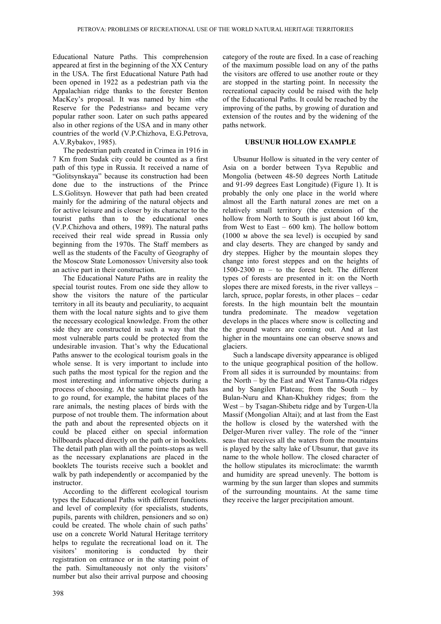Educational Nature Paths. This comprehension appeared at first in the beginning of the XX Century in the USA. The first Educational Nature Path had been opened in 1922 as a pedestrian path via the Appalachian ridge thanks to the forester Benton MacKey's proposal. It was named by him «the Reserve for the Pedestrians» and became very popular rather soon. Later on such paths appeared also in other regions of the USA and in many other countries of the world (V.P.Chizhova, E.G.Petrova, A.V.Rybakov, 1985).

The pedestrian path created in Crimea in 1916 in 7 Km from Sudak city could be counted as a first path of this type in Russia. It received a name of "Golitsynskaya" because its construction had been done due to the instructions of the Prince L.S.Golitsyn. However that path had been created mainly for the admiring of the natural objects and for active leisure and is closer by its character to the tourist paths than to the educational ones (V.P.Chizhova and others, 1989). The natural paths received their real wide spread in Russia only beginning from the 1970s. The Staff members as well as the students of the Faculty of Geography of the Moscow State Lomonossov University also took an active part in their construction.

The Educational Nature Paths are in reality the special tourist routes. From one side they allow to show the visitors the nature of the particular territory in all its beauty and peculiarity, to acquaint them with the local nature sights and to give them the necessary ecological knowledge. From the other side they are constructed in such a way that the most vulnerable parts could be protected from the undesirable invasion. That's why the Educational Paths answer to the ecological tourism goals in the whole sense. It is very important to include into such paths the most typical for the region and the most interesting and informative objects during a process of choosing. At the same time the path has to go round, for example, the habitat places of the rare animals, the nesting places of birds with the purpose of not trouble them. The information about the path and about the represented objects on it could be placed either on special information billboards placed directly on the path or in booklets. The detail path plan with all the points-stops as well as the necessary explanations are placed in the booklets The tourists receive such a booklet and walk by path independently or accompanied by the instructor.

According to the different ecological tourism types the Educational Paths with different functions and level of complexity (for specialists, students, pupils, parents with children, pensioners and so on) could be created. The whole chain of such paths' use on a concrete World Natural Heritage territory helps to regulate the recreational load on it. The visitors' monitoring is conducted by their registration on entrance or in the starting point of the path. Simultaneously not only the visitors' number but also their arrival purpose and choosing

category of the route are fixed. In a case of reaching of the maximum possible load on any of the paths the visitors are offered to use another route or they are stopped in the starting point. In necessity the recreational capacity could be raised with the help of the Educational Paths. It could be reached by the improving of the paths, by growing of duration and extension of the routes and by the widening of the paths network.

### **UBSUNUR HOLLOW EXAMPLE**

Ubsunur Hollow is situated in the very center of Asia on a border between Tyva Republic and Mongolia (between 48-50 degrees North Latitude and 91-99 degrees East Longitude) (Figure 1). It is probably the only one place in the world where almost all the Earth natural zones are met on a relatively small territory (the extension of the hollow from North to South is just about 160 km, from West to East – 600 km). The hollow bottom (1000 м above the sea level) is occupied by sand and clay deserts. They are changed by sandy and dry steppes. Higher by the mountain slopes they change into forest steppes and on the heights of 1500-2300 m – to the forest belt. The different types of forests are presented in it: on the North slopes there are mixed forests, in the river valleys – larch, spruce, poplar forests, in other places – cedar forests. In the high mountain belt the mountain tundra predominate. The meadow vegetation develops in the places where snow is collecting and the ground waters are coming out. And at last higher in the mountains one can observe snows and glaciers.

Such a landscape diversity appearance is obliged to the unique geographical position of the hollow. From all sides it is surrounded by mountains: from the North – by the East and West Tannu-Ola ridges and by Sangilen Plateau; from the South – by Bulan-Nuru and Khan-Khukhey ridges; from the West – by Tsagan-Shibetu ridge and by Turgen-Ula Massif (Mongolian Altai); and at last from the East the hollow is closed by the watershed with the Delger-Muren river valley. The role of the "inner sea» that receives all the waters from the mountains is played by the salty lake of Ubsunur, that gave its name to the whole hollow. The closed character of the hollow stipulates its microclimate: the warmth and humidity are spread unevenly. The bottom is warming by the sun larger than slopes and summits of the surrounding mountains. At the same time they receive the larger precipitation amount.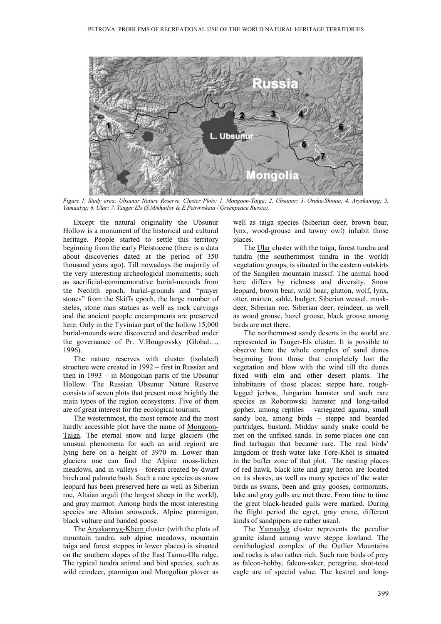

*Figure 1. Study area: Ubsunur Nature Reserve. Cluster Plots: 1. Mongoon-Taiga; 2. Ubsunur; 3. Oruku-Shinaa; 4. Aryskannyg; 5. Yamaalyg; 6. Ular; 7. Tsuger Els (S.Mikhailov & E.Petrovskaia / Greenpeace Russia).*

Except the natural originality the Ubsunur Hollow is a monument of the historical and cultural heritage. People started to settle this territory beginning from the early Pleistocene (there is a data about discoveries dated at the period of 350 thousand years ago). Till nowadays the majority of the very interesting archeological monuments, such as sacrificial-commemorative burial-mounds from the Neolith epoch, burial-grounds and "prayer stones" from the Skiffs epoch, the large number of steles, stone man statues as well as rock carvings and the ancient people encampments are preserved here. Only in the Tyvinian part of the hollow 15,000 burial-mounds were discovered and described under the governance of Pr. V.Bougrovsky (Global…, 1996).

The nature reserves with cluster (isolated) structure were created in 1992 – first in Russian and then in 1993 – in Mongolian parts of the Ubsunur Hollow. The Russian Ubsunur Nature Reserve consists of seven plots that present most brightly the main types of the region ecosystems. Five of them are of great interest for the ecological tourism.

The westernmost, the most remote and the most hardly accessible plot have the name of Mongoon-Taiga. The eternal snow and large glaciers (the unusual phenomena for such an arid region) are lying here on a height of 3970 m. Lower than glaciers one can find the Alpine moss-lichen meadows, and in valleys – forests created by dwarf birch and palmate bush. Such a rare species as snow leopard has been preserved here as well as Siberian roe, Altaian argali (the largest sheep in the world), and gray marmot. Among birds the most interesting species are Altaian snowcock, Alpine ptarmigan, black vulture and banded goose.

The Aryskannyg-Khem cluster (with the plots of mountain tundra, sub alpine meadows, mountain taiga and forest steppes in lower places) is situated on the southern slopes of the East Tannu-Ola ridge. The typical tundra animal and bird species, such as wild reindeer, ptarmigan and Mongolian plover as

well as taiga species (Siberian deer, brown bear, lynx, wood-grouse and tawny owl) inhabit those places.

The Ular cluster with the taiga, forest tundra and tundra (the southernmost tundra in the world) vegetation groups, is situated in the eastern outskirts of the Sangilen mountain massif. The animal hood here differs by richness and diversity. Snow leopard, brown bear, wild boar, glutton, wolf, lynx, otter, marten, sable, badger, Siberian weasel, muskdeer, Siberian roe, Siberian deer, reindeer, as well as wood grouse, hazel grouse, black grouse among birds are met there.

The northernmost sandy deserts in the world are represented in Tsuger-Els cluster. It is possible to observe here the whole complex of sand dunes beginning from those that completely lost the vegetation and blow with the wind till the dunes fixed with elm and other desert plants. The inhabitants of those places: steppe hare, roughlegged jerboa, Jungarian hamster and such rare species as Roborowski hamster and long-tailed gopher, among reptiles – variegated agama, small sandy boa, among birds – steppe and bearded partridges, bustard. Midday sandy snake could be met on the unfixed sands. In some places one can find tarbagan that became rare. The real birds' kingdom or fresh water lake Tore-Khol is situated in the buffer zone of that plot. The nesting places of red hawk, black kite and gray heron are located on its shores, as well as many species of the water birds as swans, been and gray gooses, cormorants, lake and gray gulls are met there. From time to time the great black-headed gulls were marked. During the flight period the egret, gray crane, different kinds of sandpipers are rather usual.

The Yamaalyg cluster represents the peculiar granite island among wavy steppe lowland. The ornithological complex of the Outlier Mountains and rocks is also rather rich. Such rare birds of prey as falcon-hobby, falcon-saker, peregrine, shot-toed eagle are of special value. The kestrel and long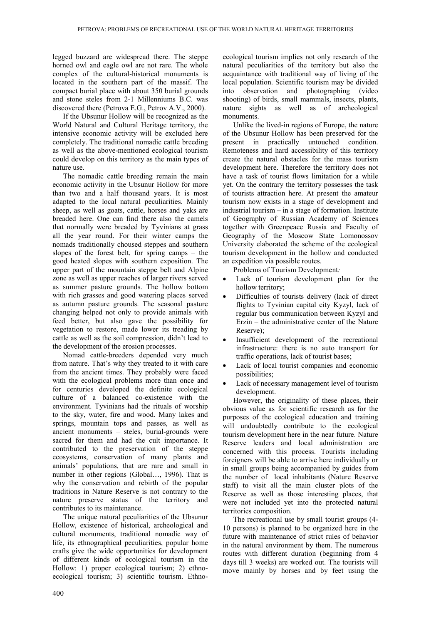legged buzzard are widespread there. The steppe horned owl and eagle owl are not rare. The whole complex of the cultural-historical monuments is located in the southern part of the massif. The compact burial place with about 350 burial grounds and stone steles from 2-1 Millenniums B.C. was discovered there (Petrova E.G., Petrov A.V., 2000).

If the Ubsunur Hollow will be recognized as the World Natural and Cultural Heritage territory, the intensive economic activity will be excluded here completely. The traditional nomadic cattle breeding as well as the above-mentioned ecological tourism could develop on this territory as the main types of nature use.

The nomadic cattle breeding remain the main economic activity in the Ubsunur Hollow for more than two and a half thousand years. It is most adapted to the local natural peculiarities. Mainly sheep, as well as goats, cattle, horses and yaks are breaded here. One can find there also the camels that normally were breaded by Tyvinians at grass all the year round. For their winter camps the nomads traditionally choused steppes and southern slopes of the forest belt, for spring camps – the good heated slopes with southern exposition. The upper part of the mountain steppe belt and Alpine zone as well as upper reaches of larger rivers served as summer pasture grounds. The hollow bottom with rich grasses and good watering places served as autumn pasture grounds. The seasonal pasture changing helped not only to provide animals with feed better, but also gave the possibility for vegetation to restore, made lower its treading by cattle as well as the soil compression, didn't lead to the development of the erosion processes.

Nomad cattle-breeders depended very much from nature. That's why they treated to it with care from the ancient times. They probably were faced with the ecological problems more than once and for centuries developed the definite ecological culture of a balanced co-existence with the environment. Tyvinians had the rituals of worship to the sky, water, fire and wood. Many lakes and springs, mountain tops and passes, as well as ancient monuments – steles, burial-grounds were sacred for them and had the cult importance. It contributed to the preservation of the steppe ecosystems, conservation of many plants and animals' populations, that are rare and small in number in other regions (Global…, 1996). That is why the conservation and rebirth of the popular traditions in Nature Reserve is not contrary to the nature preserve status of the territory and contributes to its maintenance.

The unique natural peculiarities of the Ubsunur Hollow, existence of historical, archeological and cultural monuments, traditional nomadic way of life, its ethnographical peculiarities, popular home crafts give the wide opportunities for development of different kinds of ecological tourism in the Hollow: 1) proper ecological tourism; 2) ethnoecological tourism; 3) scientific tourism. Ethnoecological tourism implies not only research of the natural peculiarities of the territory but also the acquaintance with traditional way of living of the local population. Scientific tourism may be divided into observation and photographing (video shooting) of birds, small mammals, insects, plants, nature sights as well as of archeological monuments.

Unlike the lived-in regions of Europe, the nature of the Ubsunur Hollow has been preserved for the present in practically untouched condition. Remoteness and hard accessibility of this territory create the natural obstacles for the mass tourism development here. Therefore the territory does not have a task of tourist flows limitation for a while yet. On the contrary the territory possesses the task of tourists attraction here. At present the amateur tourism now exists in a stage of development and industrial tourism – in a stage of formation. Institute of Geography of Russian Academy of Sciences together with Greenpeace Russia and Faculty of Geography of the Moscow State Lomonossov University elaborated the scheme of the ecological tourism development in the hollow and conducted an expedition via possible routes.

Problems of Tourism Development*:*

- Lack of tourism development plan for the hollow territory;
- Difficulties of tourists delivery (lack of direct flights to Tyvinian capital city Kyzyl, lack of regular bus communication between Kyzyl and Erzin – the administrative center of the Nature Reserve);
- Insufficient development of the recreational infrastructure: there is no auto transport for traffic operations, lack of tourist bases;
- Lack of local tourist companies and economic possibilities;
- Lack of necessary management level of tourism development.

However, the originality of these places, their obvious value as for scientific research as for the purposes of the ecological education and training will undoubtedly contribute to the ecological tourism development here in the near future. Nature Reserve leaders and local administration are concerned with this process. Tourists including foreigners will be able to arrive here individually or in small groups being accompanied by guides from the number of local inhabitants (Nature Reserve staff) to visit all the main cluster plots of the Reserve as well as those interesting places, that were not included yet into the protected natural territories composition.

The recreational use by small tourist groups (4- 10 persons) is planned to be organized here in the future with maintenance of strict rules of behavior in the natural environment by them. The numerous routes with different duration (beginning from 4 days till 3 weeks) are worked out. The tourists will move mainly by horses and by feet using the